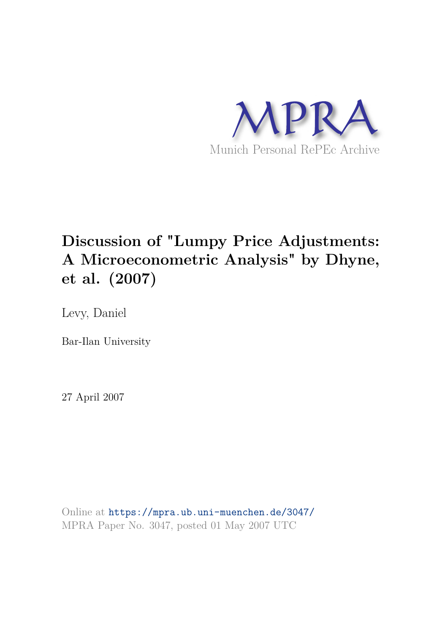

#### **Discussion of "Lumpy Price Adjustments: A Microeconometric Analysis" by Dhyne, et al. (2007)**

Levy, Daniel

Bar-Ilan University

27 April 2007

Online at https://mpra.ub.uni-muenchen.de/3047/ MPRA Paper No. 3047, posted 01 May 2007 UTC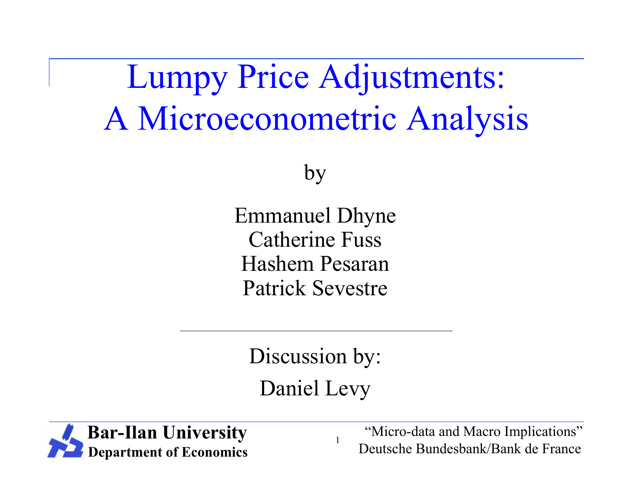Lumpy Price Adjustments: A Microeconometric Analysis

by

Emmanuel Dhyne Catherine Fuss Hashem Pesaran Patrick Sevestre

Discussion by: Daniel Levy

1

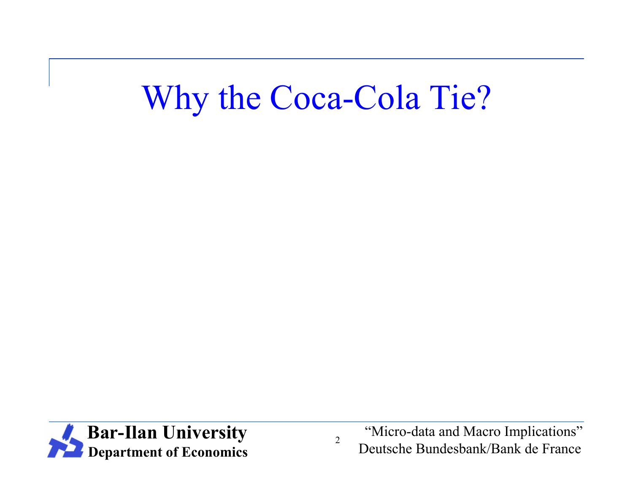# Why the Coca-Cola Tie?



"Micro-data and Macro Implications" Deutsche Bundesbank/Bank de France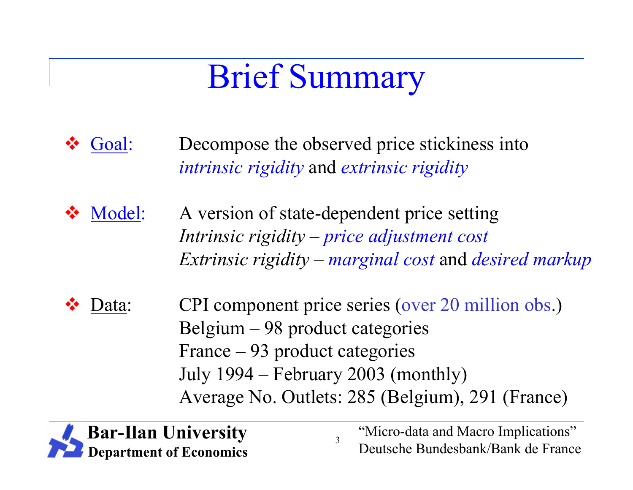# Brief Summary

- Goal: Decompose the observed price stickiness into *intrinsic rigidity* and *extrinsic rigidity*
- Model: A version of state-dependent price setting *Intrinsic rigidity* – *price adjustment cost Extrinsic rigidity* – *marginal cost* and *desired markup*
- Data: CPI component price series (over 20 million obs.) Belgium – 98 product categories France – 93 product categories July 1994 – February 2003 (monthly) Average No. Outlets: 285 (Belgium), 291 (France)

3

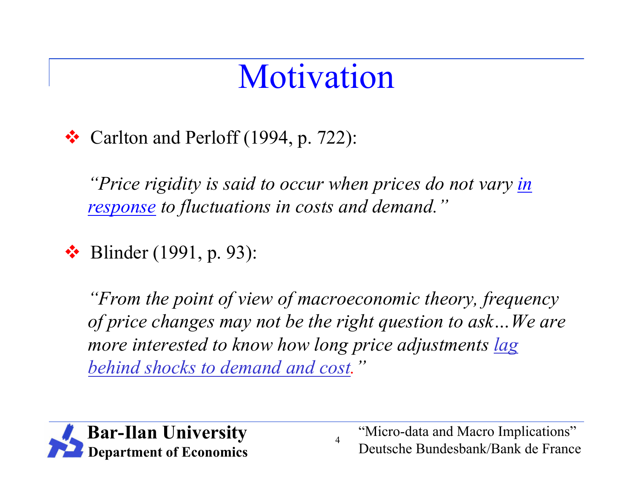# Motivation

#### $\bullet$  Carlton and Perloff (1994, p. 722):

*"Price rigidity is said to occur when prices do not vary in response to fluctuations in costs and demand."*

 $\cdot \cdot$  Blinder (1991, p. 93):

*"From the point of view of macroeconomic theory, frequency of price changes may not be the right question to ask…We are more interested to know how long price adjustments lag behind shocks to demand and cost."*

4

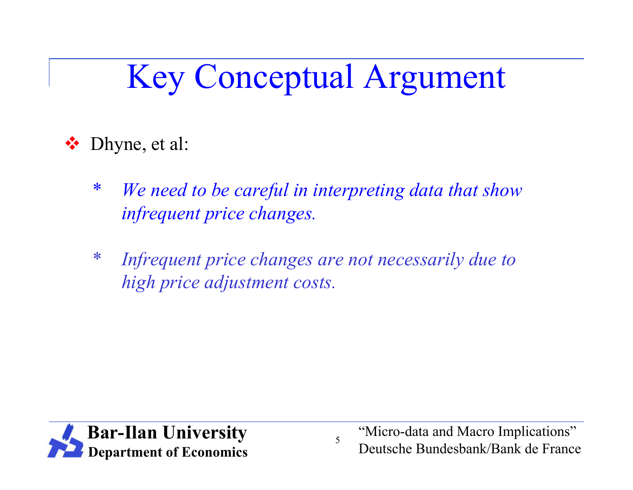# Key Conceptual Argument

Dhyne, et al:

- \* *We need to be careful in interpreting data that show infrequent price changes.*
- \* *Infrequent price changes are not necessarily due to high price adjustment costs.*

5

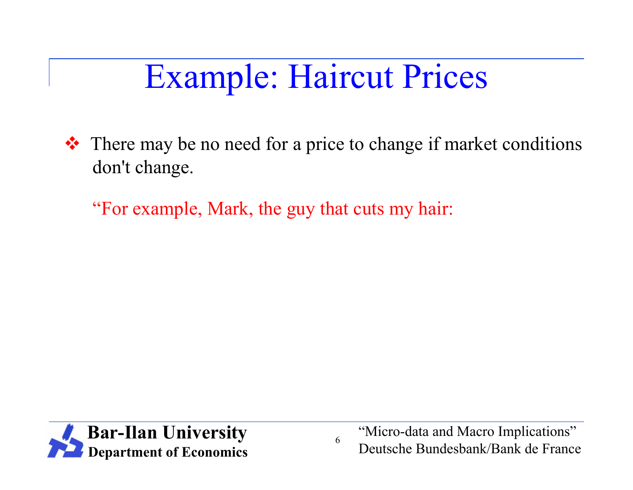# Example: Haircut Prices

 There may be no need for a price to change if market conditions don't change.

"For example, Mark, the guy that cuts my hair:



"Micro-data and Macro Implications" Deutsche Bundesbank/Bank de France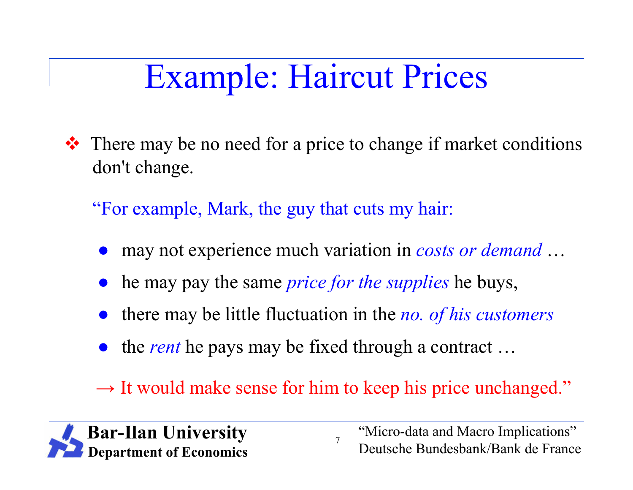# Example: Haircut Prices

**\*** There may be no need for a price to change if market conditions don't change.

"For example, Mark, the guy that cuts my hair:

- may not experience much variation in *costs or demand* ...
- he may pay the same *price for the supplies* he buys,
- there may be little fluctuation in the *no. of his customers*
- the *rent* he pays may be fixed through a contract ...
- → It would make sense for him to keep his price unchanged."

7

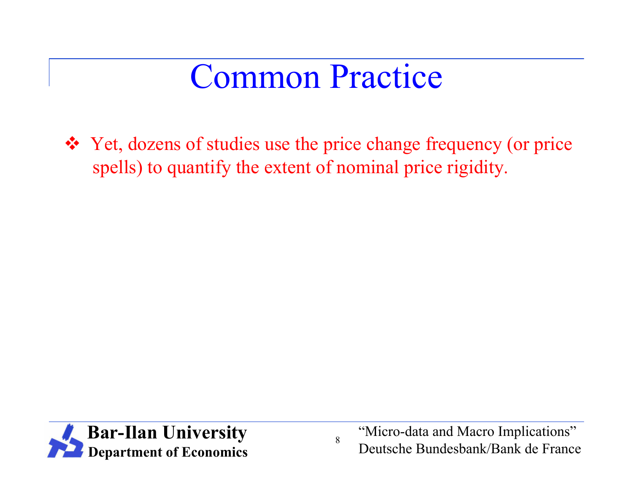## Common Practice

 Yet, dozens of studies use the price change frequency (or price spells) to quantify the extent of nominal price rigidity.



"Micro-data and Macro Implications" Deutsche Bundesbank/Bank de France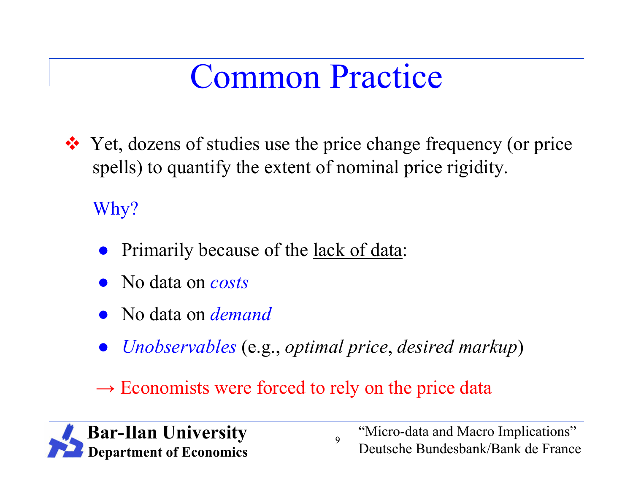# Common Practice

**\*** Yet, dozens of studies use the price change frequency (or price spells) to quantify the extent of nominal price rigidity.

#### Why?

- Primarily because of the lack of data:
- No data on *costs*
- No data on *demand*
- *Unobservables* (e.g., *optimal price*, *desired markup*)

9

→ Economists were forced to rely on the price data

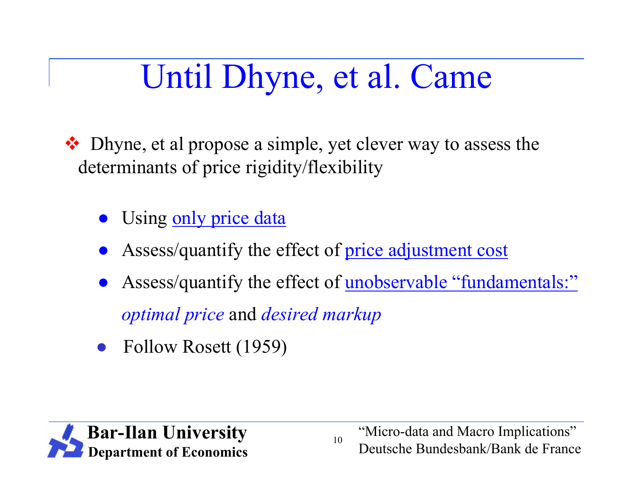# Until Dhyne, et al. Came

❖ Dhyne, et al propose a simple, yet clever way to assess the determinants of price rigidity/flexibility

- Using only price data
- Assess/quantify the effect of price adjustment cost
- Assess/quantify the effect of unobservable "fundamentals:" *optimal price* and *desired markup*

10

Follow Rosett (1959)

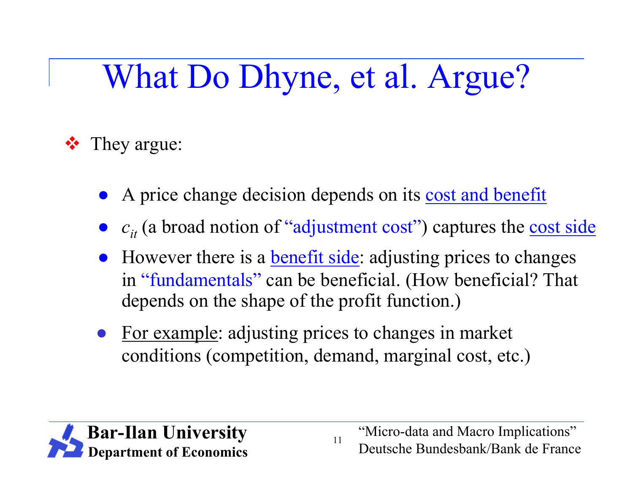# What Do Dhyne, et al. Argue?

#### **❖** They argue:

- A price change decision depends on its cost and benefit
- *c<sub>it</sub>* (a broad notion of "adjustment cost") captures the cost side
- However there is a **benefit side**: adjusting prices to changes in "fundamentals" can be beneficial. (How beneficial? That depends on the shape of the profit function.)
- For example: adjusting prices to changes in market conditions (competition, demand, marginal cost, etc.)



"Micro-data and Macro Implications" Deutsche Bundesbank/Bank de France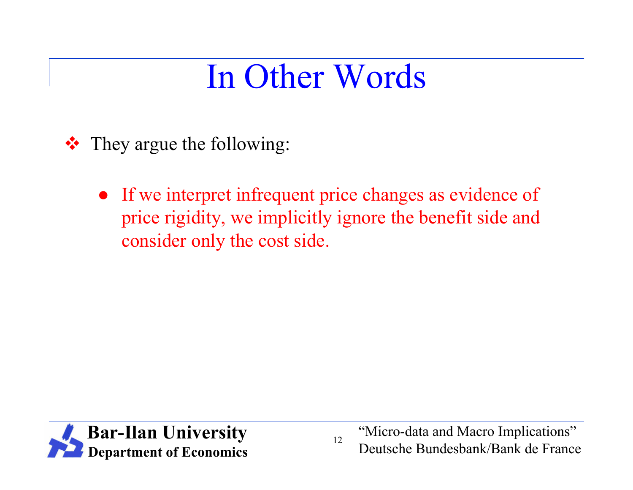# In Other Words

- **❖** They argue the following:
	- If we interpret infrequent price changes as evidence of price rigidity, we implicitly ignore the benefit side and consider only the cost side.



"Micro-data and Macro Implications" Deutsche Bundesbank/Bank de France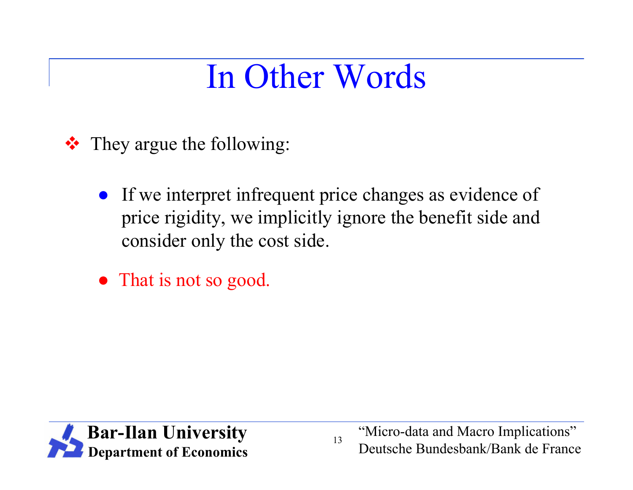# In Other Words

- **❖** They argue the following:
	- If we interpret infrequent price changes as evidence of price rigidity, we implicitly ignore the benefit side and consider only the cost side.
	- That is not so good.



"Micro-data and Macro Implications" Deutsche Bundesbank/Bank de France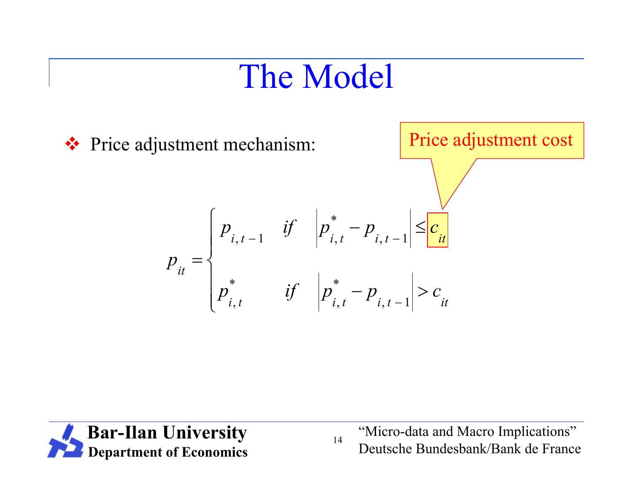# The Model



![](_page_14_Picture_2.jpeg)

"Micro-data and Macro Implications" Deutsche Bundesbank/Bank de France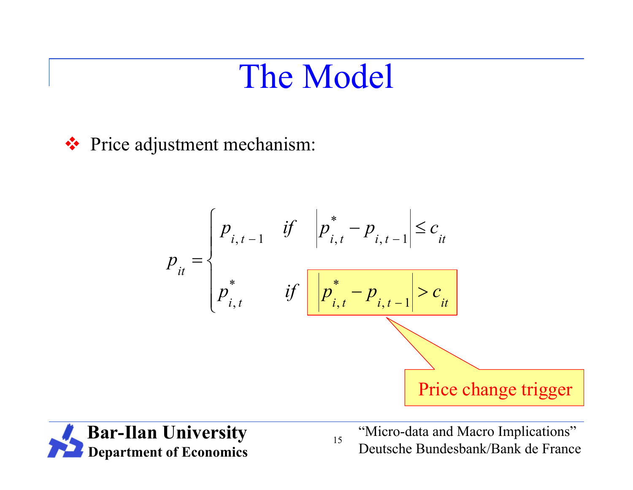### The Model

**❖** Price adjustment mechanism:

$$
p_{it} = \begin{cases} p_{i, t-1} & \text{if } \left| p_{i, t}^{*} - p_{i, t-1} \right| \leq c_{it} \\ p_{i, t}^{*} & \text{if } \left| \frac{p_{i, t}^{*} - p_{i, t-1} > c_{it}}{p_{i, t}^{*} - p_{i, t-1} > c_{it}} \right| \end{cases}
$$
Price change trigger

![](_page_15_Picture_3.jpeg)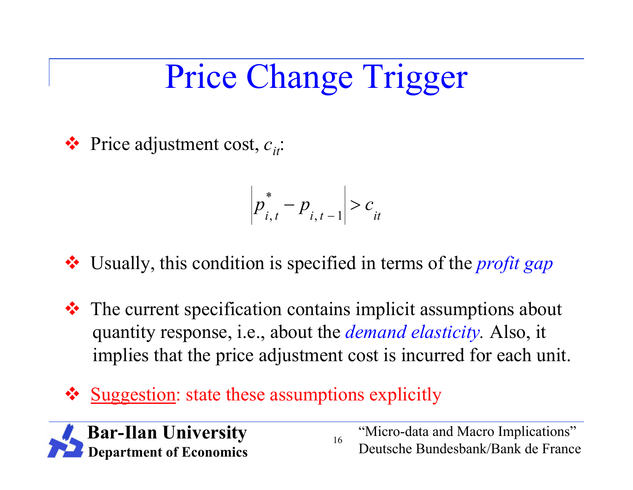# Price Change Trigger

**❖** Price adjustment cost,  $c_i$ .

$$
p_{i,t}^* - p_{i,t-1} > c_{it}
$$

Usually, this condition is specified in terms of the *profit gap*

 $\triangle$  The current specification contains implicit assumptions about quantity response, i.e., about the *demand elasticity.* Also, it implies that the price adjustment cost is incurred for each unit.

16

Suggestion: state these assumptions explicitly

![](_page_16_Picture_6.jpeg)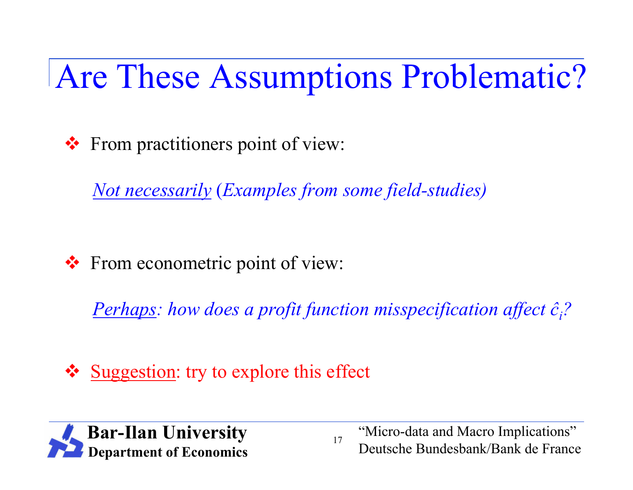Are These Assumptions Problematic?

From practitioners point of view:

*Not necessarily* (*Examples from some field-studies)*

❖ From econometric point of view:

*Perhaps: how does a profit function misspecification affect ĉi?*

17

❖ Suggestion: try to explore this effect

![](_page_17_Picture_6.jpeg)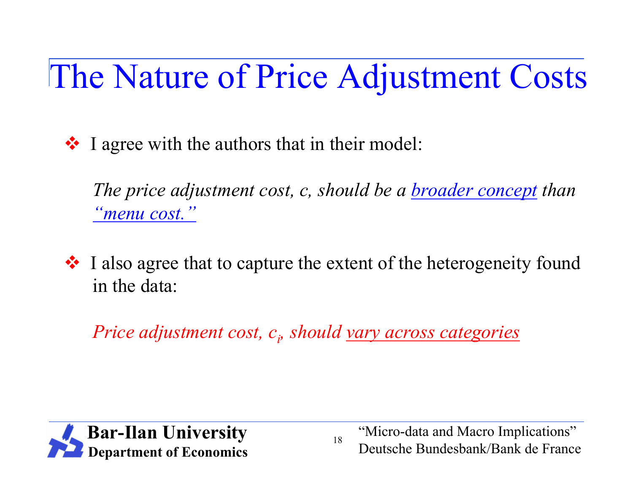# The Nature of Price Adjustment Costs

 $\cdot$  I agree with the authors that in their model:

*The price adjustment cost, c, should be a broader concept than "menu cost."*

 I also agree that to capture the extent of the heterogeneity found in the data:

*Price adjustment cost, c<sup>i</sup> , should vary across categories*

![](_page_18_Picture_5.jpeg)

"Micro-data and Macro Implications" Deutsche Bundesbank/Bank de France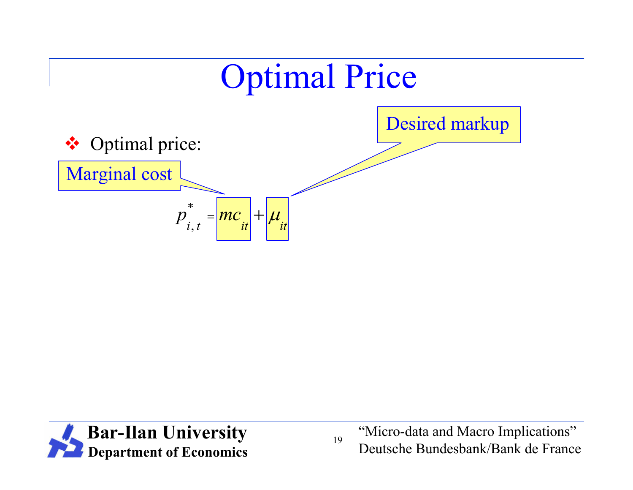![](_page_19_Figure_0.jpeg)

![](_page_19_Picture_1.jpeg)

"Micro-data and Macro Implications" Deutsche Bundesbank/Bank de France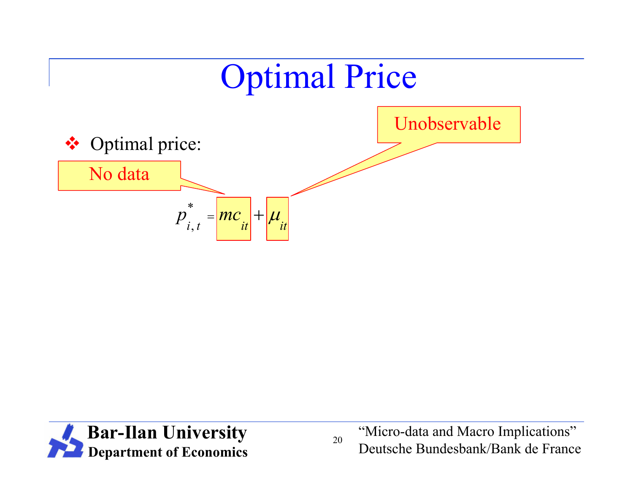![](_page_20_Figure_0.jpeg)

![](_page_20_Picture_1.jpeg)

"Micro-data and Macro Implications" Deutsche Bundesbank/Bank de France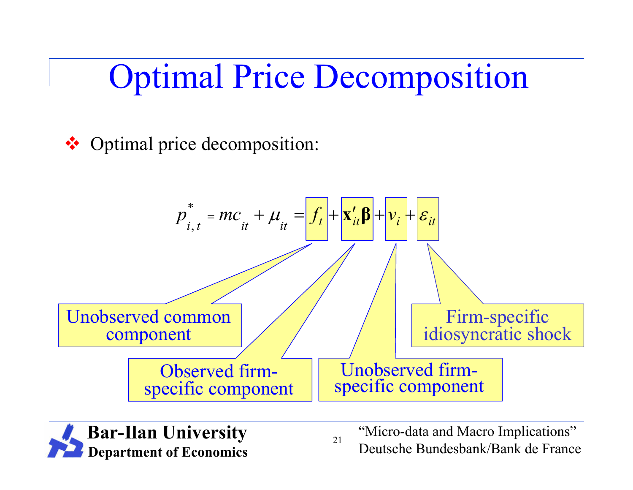Optimal Price Decomposition

❖ Optimal price decomposition:

![](_page_21_Figure_2.jpeg)

![](_page_21_Picture_3.jpeg)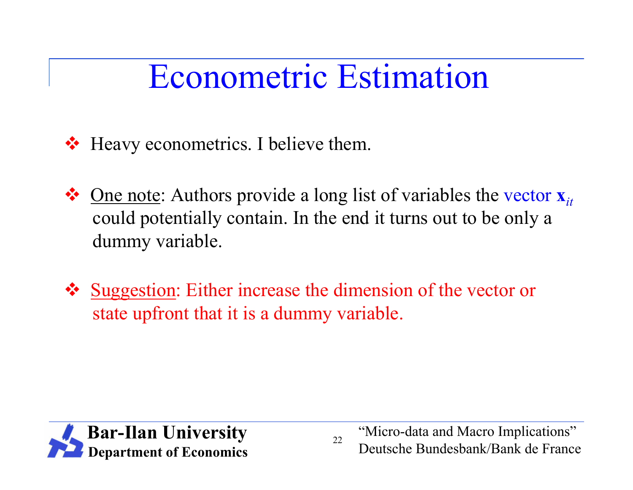# Econometric Estimation

- ❖ Heavy econometrics. I believe them.
- One note: Authors provide a long list of variables the vector **x***it* could potentially contain. In the end it turns out to be only a dummy variable.
- ❖ Suggestion: Either increase the dimension of the vector or state upfront that it is a dummy variable.

![](_page_22_Picture_4.jpeg)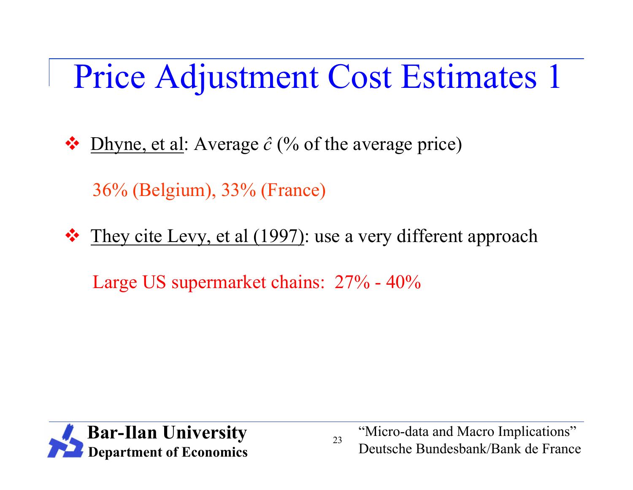# Price Adjustment Cost Estimates 1

 $\bullet$  Dhyne, et al: Average  $\hat{c}$  (% of the average price)

36% (Belgium), 33% (France)

They cite Levy, et al (1997): use a very different approach

Large US supermarket chains: 27% - 40%

![](_page_23_Picture_5.jpeg)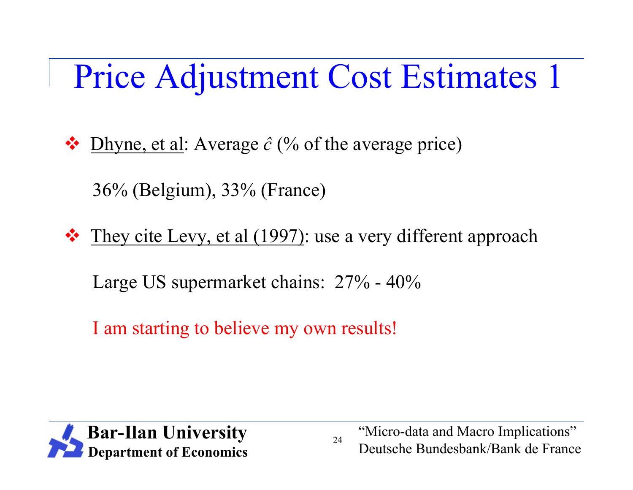# Price Adjustment Cost Estimates 1

 $\bullet$  Dhyne, et al: Average  $\hat{c}$  (% of the average price)

36% (Belgium), 33% (France)

 $\triangle$  They cite Levy, et al (1997): use a very different approach

Large US supermarket chains: 27% - 40%

I am starting to believe my own results!

![](_page_24_Picture_6.jpeg)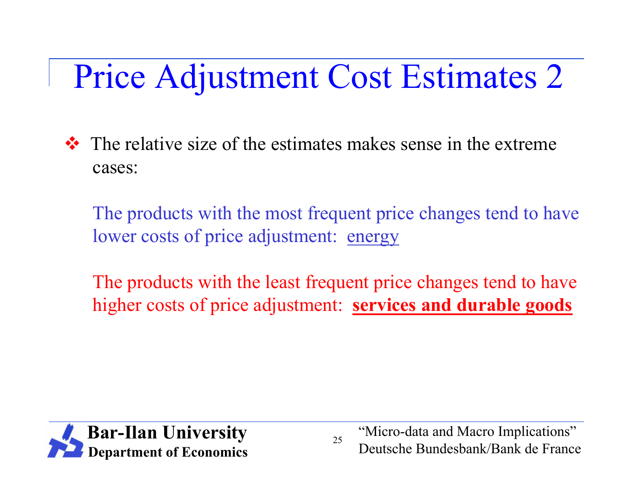# Price Adjustment Cost Estimates 2

 $\cdot \cdot$  The relative size of the estimates makes sense in the extreme cases:

The products with the most frequent price changes tend to have lower costs of price adjustment: energy

The products with the least frequent price changes tend to have higher costs of price adjustment: **services and durable goods**

![](_page_25_Picture_4.jpeg)

"Micro-data and Macro Implications" Deutsche Bundesbank/Bank de France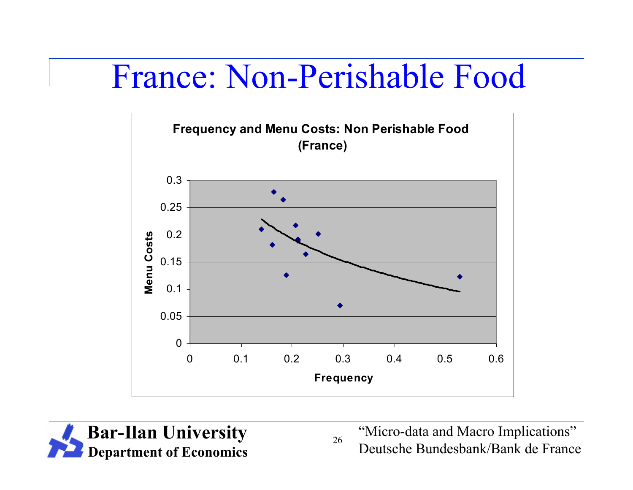#### France: Non-Perishable Food

![](_page_26_Figure_1.jpeg)

![](_page_26_Picture_2.jpeg)

"Micro-data and Macro Implications" Deutsche Bundesbank/Bank de France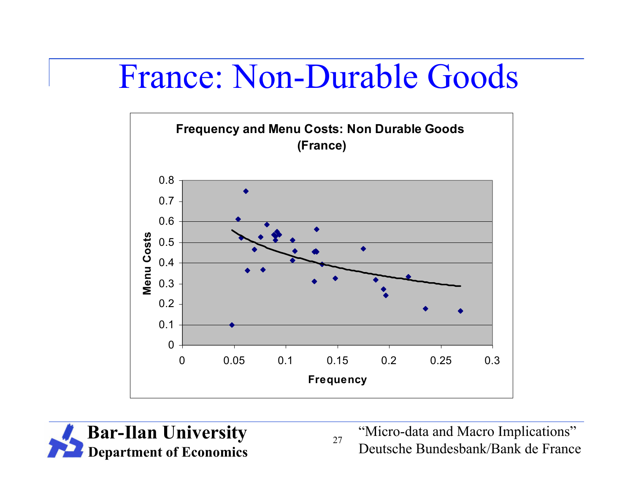#### France: Non-Durable Goods

![](_page_27_Figure_1.jpeg)

![](_page_27_Picture_2.jpeg)

"Micro-data and Macro Implications" Deutsche Bundesbank/Bank de France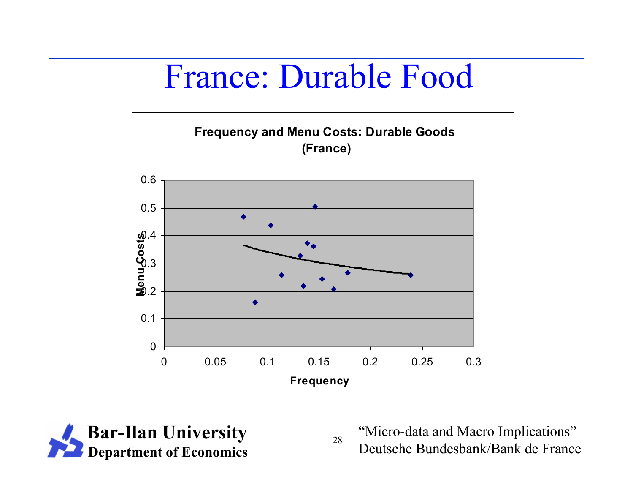#### France: Durable Food

![](_page_28_Figure_1.jpeg)

![](_page_28_Picture_2.jpeg)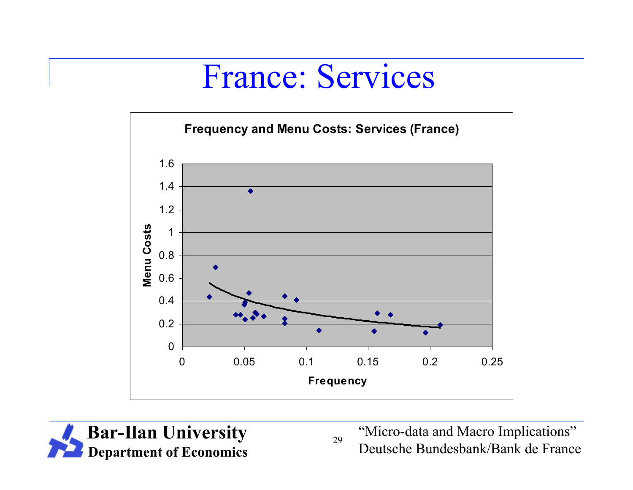#### France: Services

![](_page_29_Figure_1.jpeg)

![](_page_29_Picture_2.jpeg)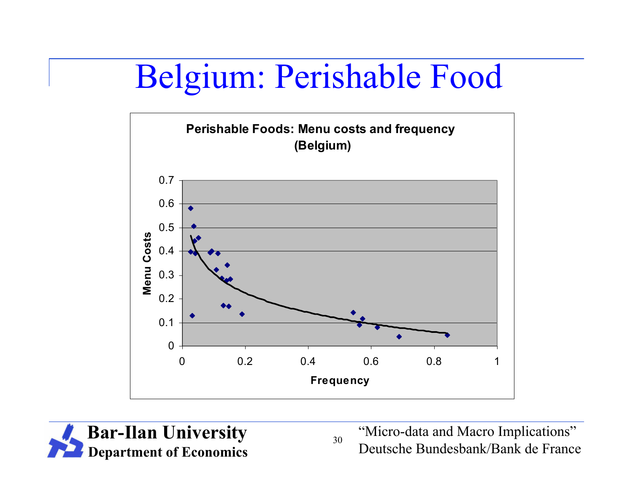# Belgium: Perishable Food

![](_page_30_Figure_1.jpeg)

![](_page_30_Picture_2.jpeg)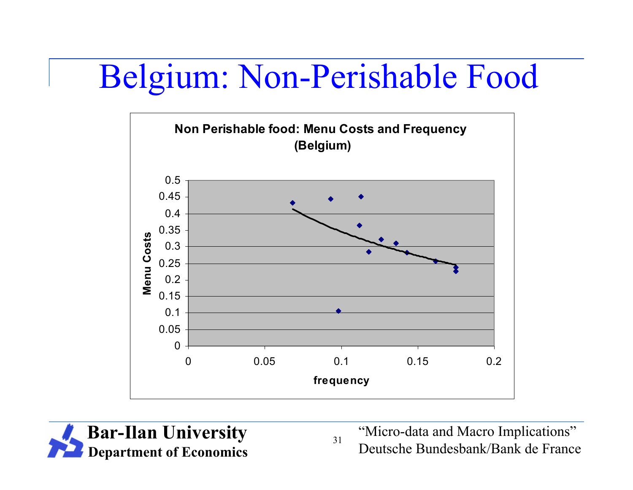## Belgium: Non-Perishable Food

![](_page_31_Figure_1.jpeg)

![](_page_31_Picture_2.jpeg)

"Micro-data and Macro Implications" Deutsche Bundesbank/Bank de France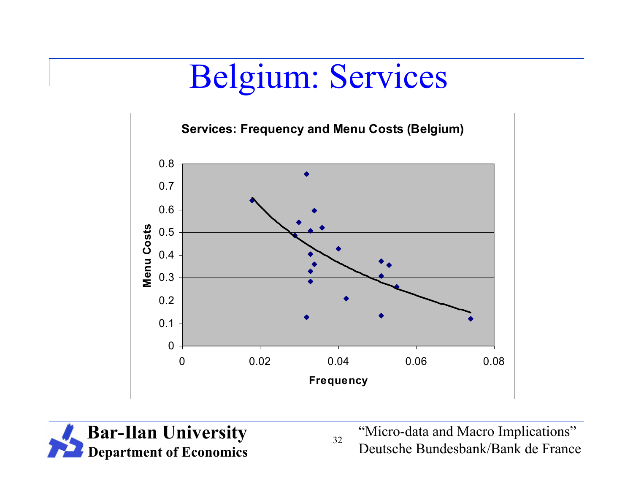# Belgium: Services

![](_page_32_Figure_1.jpeg)

![](_page_32_Picture_2.jpeg)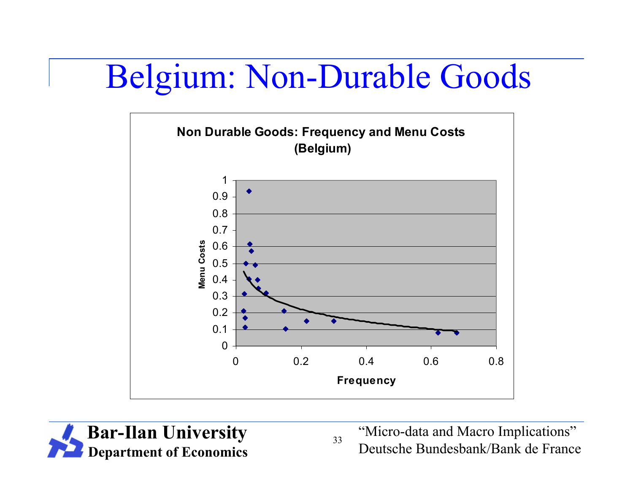## Belgium: Non-Durable Goods

![](_page_33_Figure_1.jpeg)

![](_page_33_Picture_2.jpeg)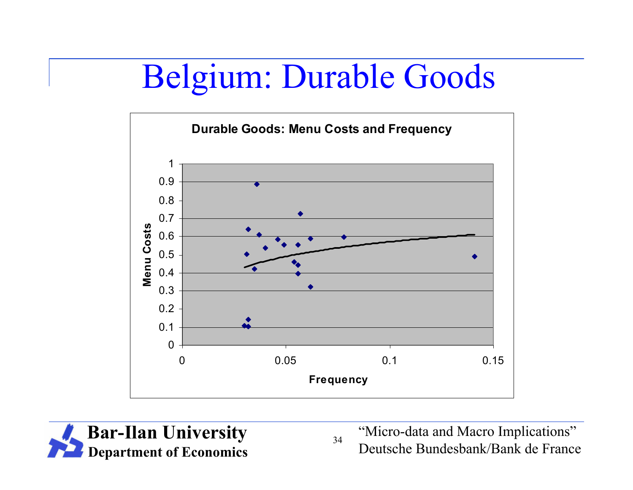# Belgium: Durable Goods

![](_page_34_Figure_1.jpeg)

![](_page_34_Picture_2.jpeg)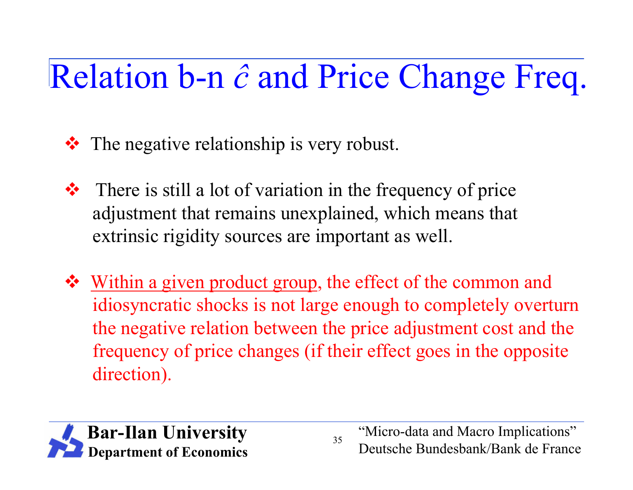# Relation b-n *ĉ* and Price Change Freq.

- **☆** The negative relationship is very robust.
- $\triangle$  There is still a lot of variation in the frequency of price adjustment that remains unexplained, which means that extrinsic rigidity sources are important as well.
- Within a given product group, the effect of the common and idiosyncratic shocks is not large enough to completely overturn the negative relation between the price adjustment cost and the frequency of price changes (if their effect goes in the opposite direction).

![](_page_35_Picture_4.jpeg)

"Micro-data and Macro Implications" Deutsche Bundesbank/Bank de France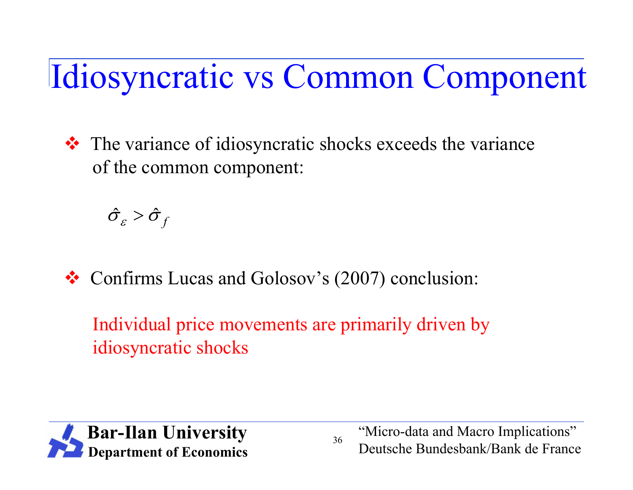Idiosyncratic vs Common Component

 $\cdot \cdot \cdot$  The variance of idiosyncratic shocks exceeds the variance of the common component:

 $\hat{\sigma}_{\varepsilon} > \hat{\sigma}_{f}$ 

Confirms Lucas and Golosov's (2007) conclusion:

Individual price movements are primarily driven by idiosyncratic shocks

![](_page_36_Picture_5.jpeg)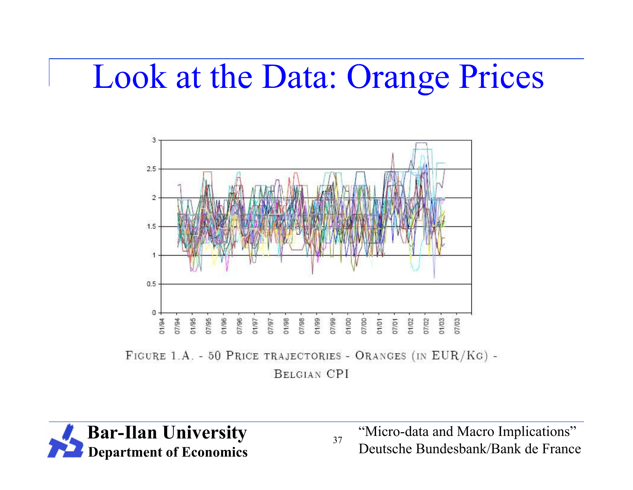#### Look at the Data: Orange Prices

![](_page_37_Figure_1.jpeg)

FIGURE 1.A. - 50 PRICE TRAJECTORIES - ORANGES (IN EUR/KG) -

**BELGIAN CPI** 

![](_page_37_Picture_4.jpeg)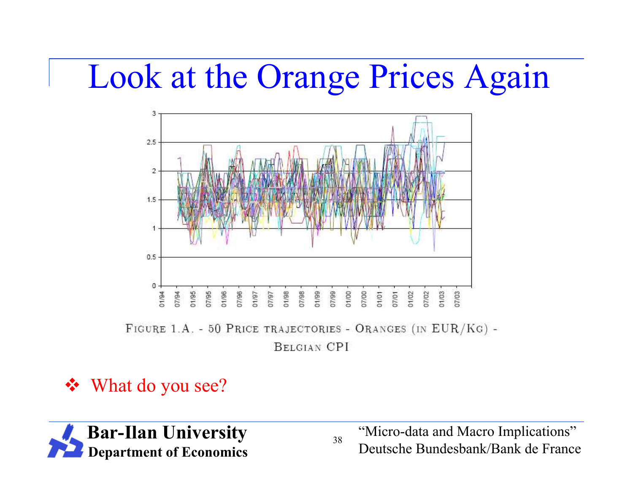#### Look at the Orange Prices Again

![](_page_38_Figure_1.jpeg)

FIGURE 1.A. - 50 PRICE TRAJECTORIES - ORANGES (IN EUR/KG) -

**BELGIAN CPI** 

38

#### What do you see?

![](_page_38_Picture_5.jpeg)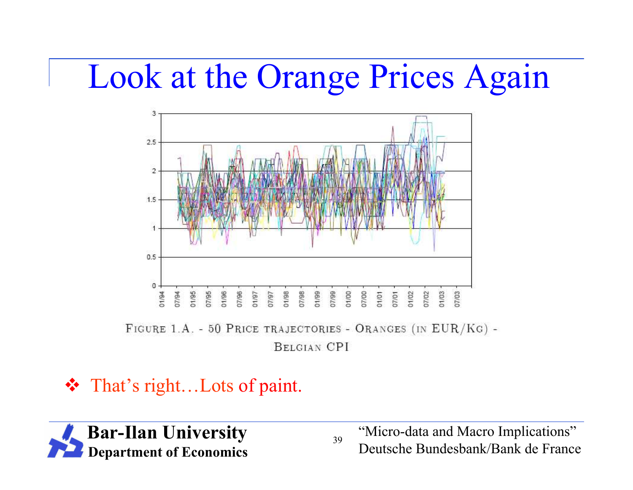#### Look at the Orange Prices Again

![](_page_39_Figure_1.jpeg)

**BELGIAN CPI** 

39

#### That's right…Lots of paint.

![](_page_39_Picture_4.jpeg)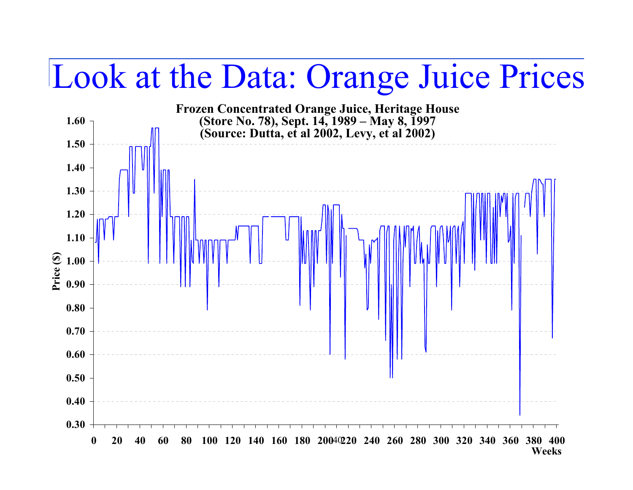#### Look at the Data: Orange Juice Prices

![](_page_40_Figure_1.jpeg)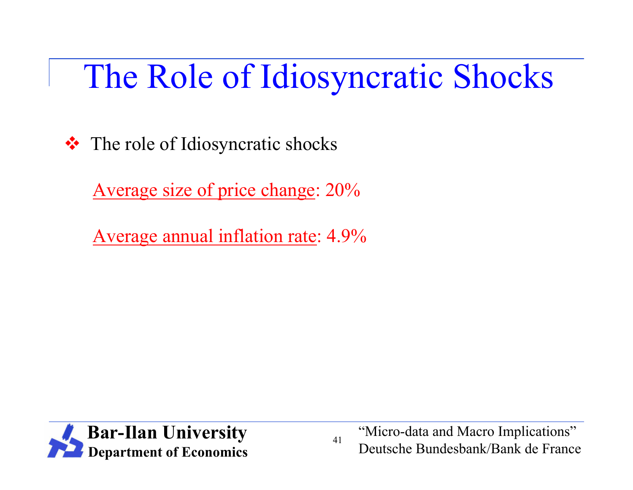# The Role of Idiosyncratic Shocks

**☆** The role of Idiosyncratic shocks

Average size of price change: 20%

Average annual inflation rate: 4.9%

![](_page_41_Picture_4.jpeg)

"Micro-data and Macro Implications" Deutsche Bundesbank/Bank de France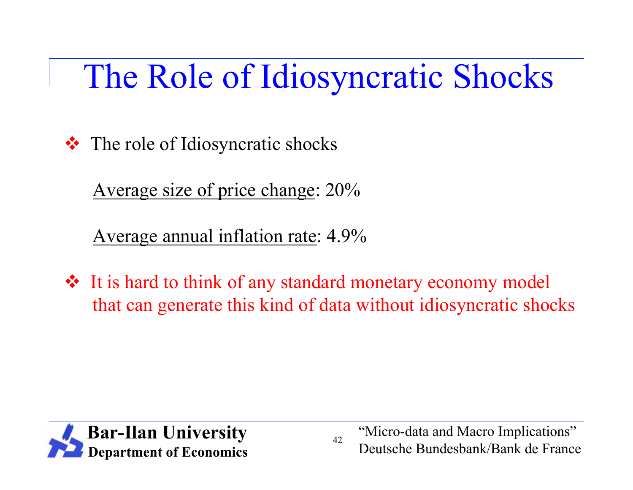# The Role of Idiosyncratic Shocks

**☆** The role of Idiosyncratic shocks

Average size of price change: 20%

Average annual inflation rate: 4.9%

 It is hard to think of any standard monetary economy model that can generate this kind of data without idiosyncratic shocks

![](_page_42_Picture_5.jpeg)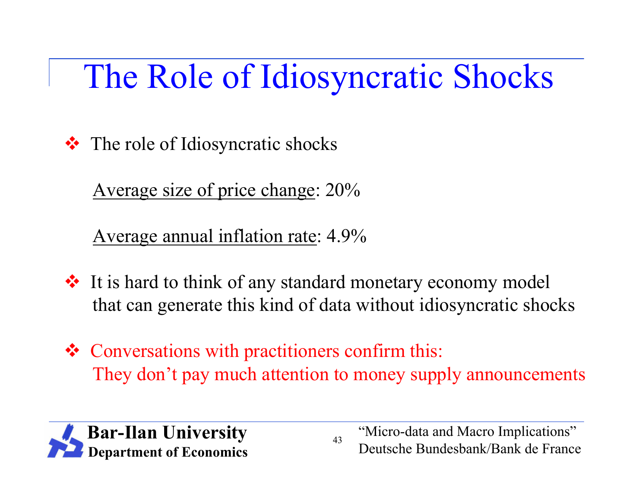# The Role of Idiosyncratic Shocks

**☆** The role of Idiosyncratic shocks

Average size of price change: 20%

Average annual inflation rate: 4.9%

- It is hard to think of any standard monetary economy model that can generate this kind of data without idiosyncratic shocks
- Conversations with practitioners confirm this: They don't pay much attention to money supply announcements

![](_page_43_Picture_6.jpeg)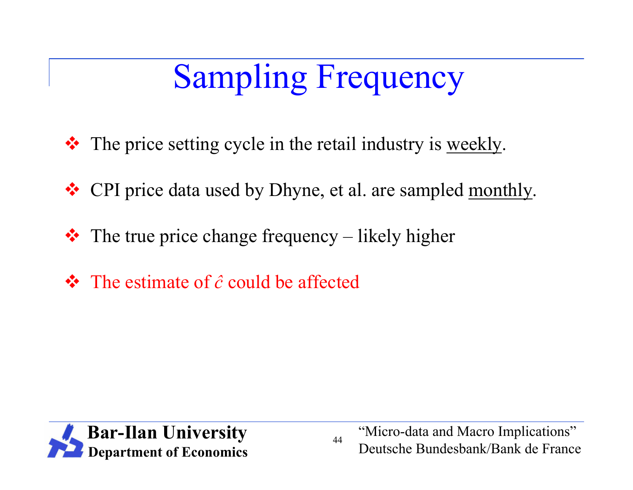# Sampling Frequency

- The price setting cycle in the retail industry is weekly.
- \* CPI price data used by Dhyne, et al. are sampled monthly.
- $\cdot \cdot$  The true price change frequency likely higher
- The estimate of *ĉ* could be affected

![](_page_44_Picture_5.jpeg)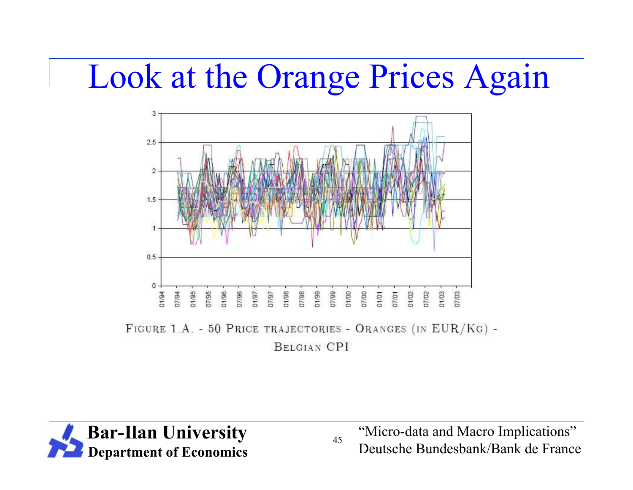#### Look at the Orange Prices Again

![](_page_45_Figure_1.jpeg)

FIGURE 1.A. - 50 PRICE TRAJECTORIES - ORANGES (IN EUR/KG) -

**BELGIAN CPI** 

![](_page_45_Picture_4.jpeg)

"Micro-data and Macro Implications" Deutsche Bundesbank/Bank de France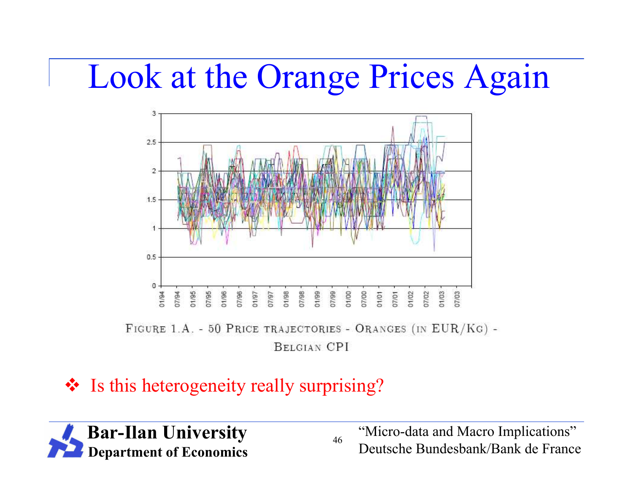#### Look at the Orange Prices Again

![](_page_46_Figure_1.jpeg)

**BELGIAN CPI** 

#### ❖ Is this heterogeneity really surprising?

![](_page_46_Picture_4.jpeg)

46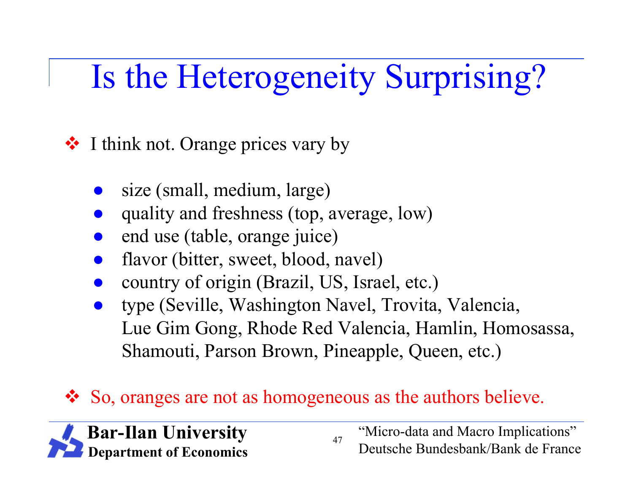# Is the Heterogeneity Surprising?

 $\cdot$  **I** think not. Orange prices vary by

- size (small, medium, large)
- quality and freshness (top, average, low)
- end use (table, orange juice)
- flavor (bitter, sweet, blood, navel)
- country of origin (Brazil, US, Israel, etc.)
- type (Seville, Washington Navel, Trovita, Valencia, Lue Gim Gong, Rhode Red Valencia, Hamlin, Homosassa, Shamouti, Parson Brown, Pineapple, Queen, etc.)

47

So, oranges are not as homogeneous as the authors believe.

![](_page_47_Picture_9.jpeg)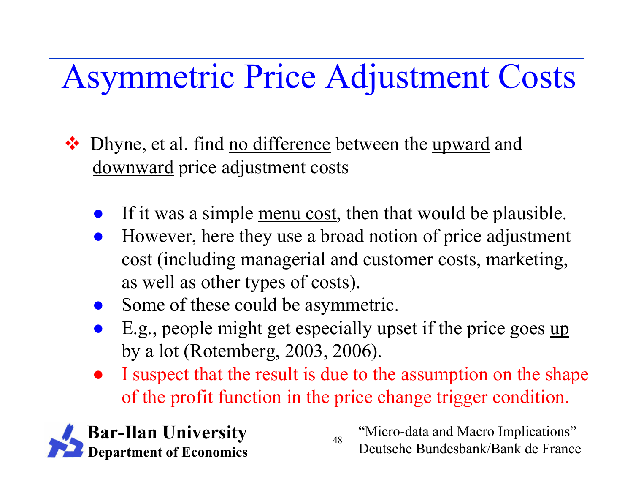# Asymmetric Price Adjustment Costs

- ❖ Dhyne, et al. find no difference between the upward and downward price adjustment costs
	- If it was a simple menu cost, then that would be plausible.
	- However, here they use a <u>broad notion</u> of price adjustment cost (including managerial and customer costs, marketing, as well as other types of costs).
	- Some of these could be asymmetric.
	- E.g., people might get especially upset if the price goes up by a lot (Rotemberg, 2003, 2006).
	- I suspect that the result is due to the assumption on the shape of the profit function in the price change trigger condition.

![](_page_48_Picture_7.jpeg)

"Micro-data and Macro Implications" Deutsche Bundesbank/Bank de France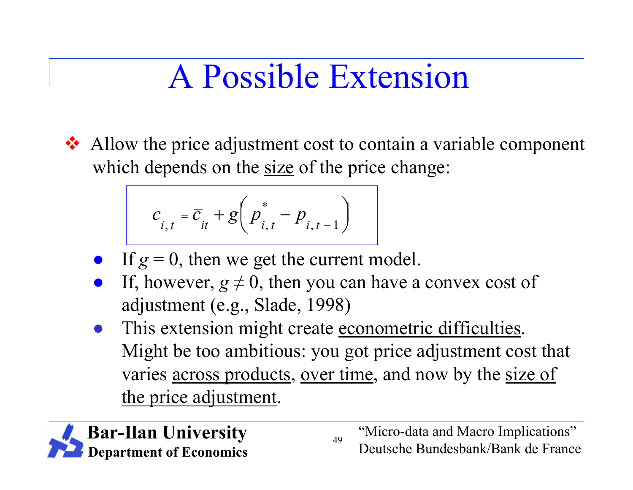# A Possible Extension

Allow the price adjustment cost to contain a variable component which depends on the size of the price change:

$$
c_{i,t} = \overline{c}_{it} + g\left(p_{i,t}^* - p_{i,t-1}\right)
$$

- If  $g = 0$ , then we get the current model.
- If, however,  $g \neq 0$ , then you can have a convex cost of adjustment (e.g., Slade, 1998)
- This extension might create econometric difficulties. Might be too ambitious: you got price adjustment cost that varies <u>across products</u>, over time, and now by the size of the price adjustment.

49

![](_page_49_Picture_6.jpeg)